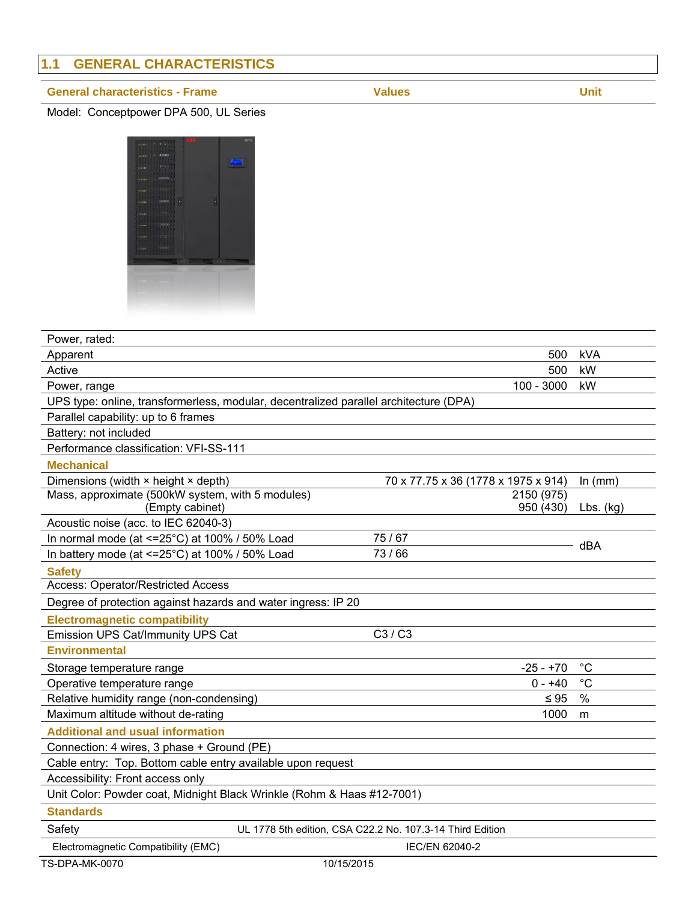# **1.1 GENERAL CHARACTERISTICS**

#### **General characteristics - Frame Values** Values Values Values

Model: Conceptpower DPA 500, UL Series



| Power, rated:                                                                         |                                                           |               |
|---------------------------------------------------------------------------------------|-----------------------------------------------------------|---------------|
| Apparent                                                                              | 500                                                       | <b>kVA</b>    |
| Active                                                                                | 500                                                       | kW            |
| Power, range                                                                          | $100 - 3000$                                              | kW            |
| UPS type: online, transformerless, modular, decentralized parallel architecture (DPA) |                                                           |               |
| Parallel capability: up to 6 frames                                                   |                                                           |               |
| Battery: not included                                                                 |                                                           |               |
| Performance classification: VFI-SS-111                                                |                                                           |               |
| <b>Mechanical</b>                                                                     |                                                           |               |
| Dimensions (width × height × depth)                                                   | 70 x 77.75 x 36 (1778 x 1975 x 914)                       | In $(mm)$     |
| Mass, approximate (500kW system, with 5 modules)                                      | 2150 (975)                                                |               |
| (Empty cabinet)                                                                       | 950 (430)                                                 | Lbs. $(kg)$   |
| Acoustic noise (acc. to IEC 62040-3)                                                  |                                                           |               |
| In normal mode (at $\leq$ =25°C) at 100% / 50% Load                                   | 75/67                                                     | dBA           |
| In battery mode (at <= 25°C) at 100% / 50% Load                                       | 73/66                                                     |               |
| <b>Safety</b>                                                                         |                                                           |               |
| Access: Operator/Restricted Access                                                    |                                                           |               |
| Degree of protection against hazards and water ingress: IP 20                         |                                                           |               |
| <b>Electromagnetic compatibility</b>                                                  |                                                           |               |
| Emission UPS Cat/Immunity UPS Cat                                                     | C3 / C3                                                   |               |
| <b>Environmental</b>                                                                  |                                                           |               |
| Storage temperature range                                                             | $-25 - +70$                                               | $^{\circ}C$   |
| Operative temperature range                                                           | $0 - +40$                                                 | $^{\circ}C$   |
| Relative humidity range (non-condensing)                                              | $\leq 95$                                                 | $\frac{0}{0}$ |
| Maximum altitude without de-rating                                                    | 1000                                                      | m             |
| <b>Additional and usual information</b>                                               |                                                           |               |
| Connection: 4 wires, 3 phase + Ground (PE)                                            |                                                           |               |
| Cable entry: Top. Bottom cable entry available upon request                           |                                                           |               |
| Accessibility: Front access only                                                      |                                                           |               |
| Unit Color: Powder coat, Midnight Black Wrinkle (Rohm & Haas #12-7001)                |                                                           |               |
| <b>Standards</b>                                                                      |                                                           |               |
| Safety                                                                                | UL 1778 5th edition, CSA C22.2 No. 107.3-14 Third Edition |               |
| Electromagnetic Compatibility (EMC)                                                   | IEC/EN 62040-2                                            |               |
| <b>TS-DPA-MK-0070</b><br>10/15/2015                                                   |                                                           |               |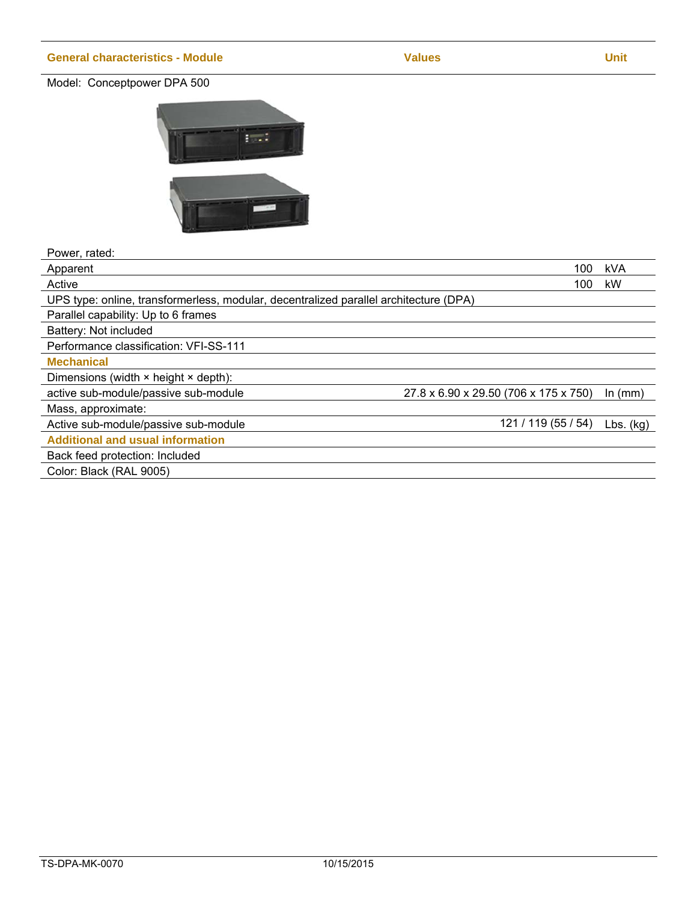### **General characteristics - Module Community Community Community Values** Values Values Values Values Values Values

Model: Conceptpower DPA 500



Power, rated:

| Apparent                                                                              | 100                                   | kVA         |
|---------------------------------------------------------------------------------------|---------------------------------------|-------------|
| Active                                                                                | 100                                   | kW          |
| UPS type: online, transformerless, modular, decentralized parallel architecture (DPA) |                                       |             |
| Parallel capability: Up to 6 frames                                                   |                                       |             |
| Battery: Not included                                                                 |                                       |             |
| Performance classification: VFI-SS-111                                                |                                       |             |
| <b>Mechanical</b>                                                                     |                                       |             |
| Dimensions (width $\times$ height $\times$ depth):                                    |                                       |             |
| active sub-module/passive sub-module                                                  | 27.8 x 6.90 x 29.50 (706 x 175 x 750) | ln (mm)     |
| Mass, approximate:                                                                    |                                       |             |
| Active sub-module/passive sub-module                                                  | 121 / 119 (55 / 54)                   | $Lbs.$ (kg) |
| <b>Additional and usual information</b>                                               |                                       |             |
| Back feed protection: Included                                                        |                                       |             |
| Color: Black (RAL 9005)                                                               |                                       |             |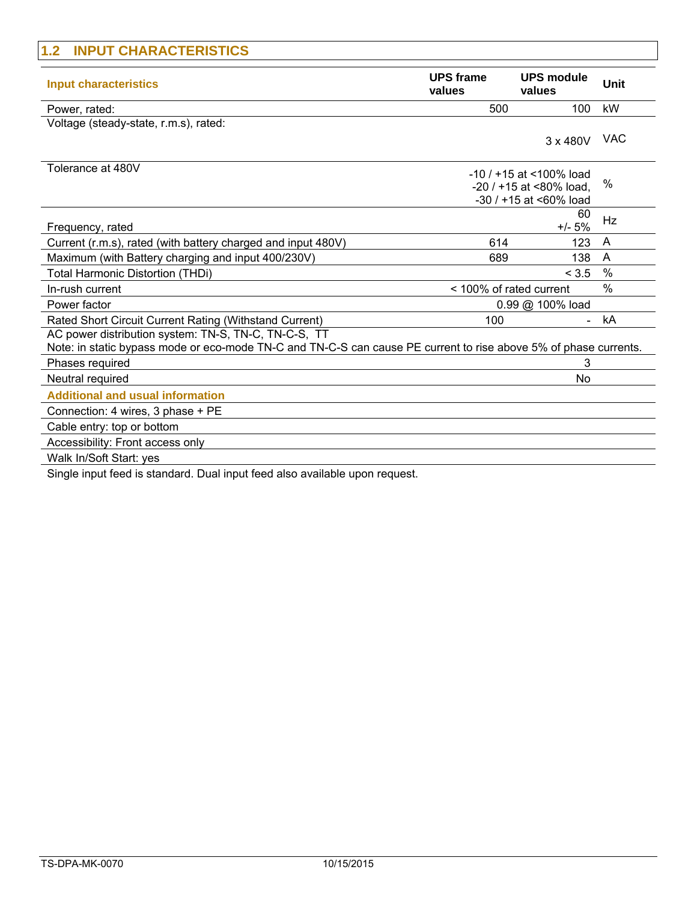| <b>INPUT CHARACTERISTICS</b><br>1.2                                                                              |                                          |                                   |                |
|------------------------------------------------------------------------------------------------------------------|------------------------------------------|-----------------------------------|----------------|
| <b>Input characteristics</b>                                                                                     | <b>UPS</b> frame<br>values               | <b>UPS module</b><br>values       | <b>Unit</b>    |
| Power, rated:                                                                                                    | 500                                      | 100                               | kW             |
| Voltage (steady-state, r.m.s), rated:                                                                            |                                          |                                   |                |
|                                                                                                                  |                                          | $3 \times 480V$                   | <b>VAC</b>     |
| Tolerance at 480V                                                                                                |                                          | $-10/1 + 15$ at <100% load        |                |
|                                                                                                                  |                                          | $-20$ / $+15$ at $< 80\%$ load.   | $\%$           |
|                                                                                                                  |                                          | $-30$ / $+15$ at $\leq 60\%$ load |                |
| Frequency, rated                                                                                                 |                                          | 60<br>$+/- 5%$                    | Hz             |
| Current (r.m.s), rated (with battery charged and input 480V)                                                     | 614                                      | 123                               | $\overline{A}$ |
| Maximum (with Battery charging and input 400/230V)                                                               | 689                                      | 138                               | A              |
| <b>Total Harmonic Distortion (THDi)</b>                                                                          |                                          | < 3.5                             | $\frac{0}{0}$  |
| In-rush current                                                                                                  | $\frac{0}{0}$<br>< 100% of rated current |                                   |                |
| Power factor                                                                                                     | 0.99 @ 100% load                         |                                   |                |
| Rated Short Circuit Current Rating (Withstand Current)                                                           | 100                                      |                                   | kA             |
| AC power distribution system: TN-S, TN-C, TN-C-S, TT                                                             |                                          |                                   |                |
| Note: in static bypass mode or eco-mode TN-C and TN-C-S can cause PE current to rise above 5% of phase currents. |                                          |                                   |                |
| Phases required                                                                                                  |                                          | 3                                 |                |
| Neutral required                                                                                                 |                                          | No                                |                |
| <b>Additional and usual information</b>                                                                          |                                          |                                   |                |
| Connection: 4 wires, 3 phase + PE                                                                                |                                          |                                   |                |
| Cable entry: top or bottom                                                                                       |                                          |                                   |                |
| Accessibility: Front access only                                                                                 |                                          |                                   |                |
| Walk In/Soft Start: yes                                                                                          |                                          |                                   |                |

Single input feed is standard. Dual input feed also available upon request.

r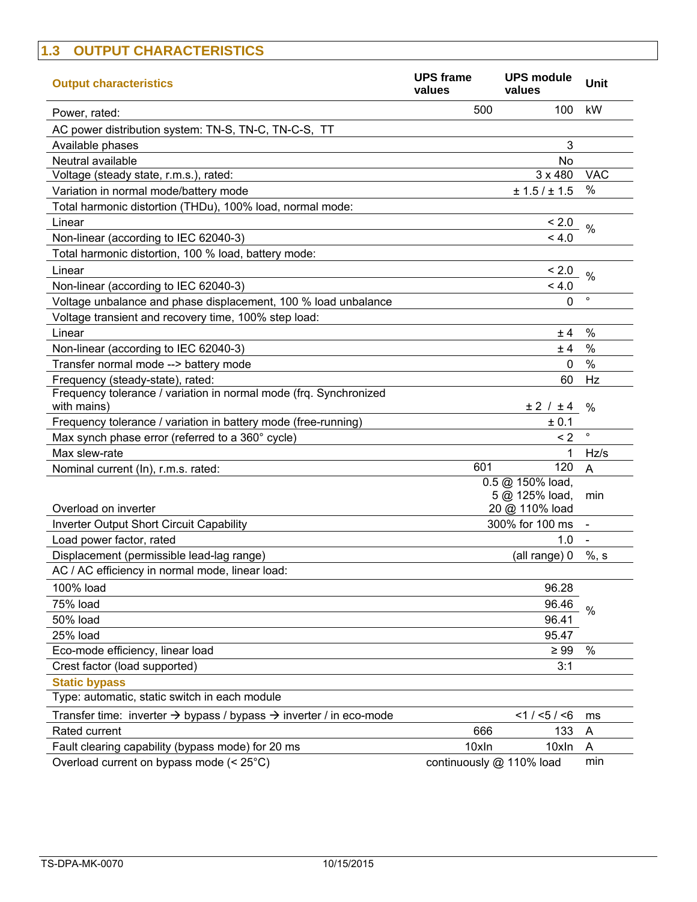## **1.3 OUTPUT CHARACTERISTICS**

| <b>Output characteristics</b>                                                              | <b>UPS frame</b><br>values | <b>UPS module</b><br>values                          | <b>Unit</b>    |
|--------------------------------------------------------------------------------------------|----------------------------|------------------------------------------------------|----------------|
| Power, rated:                                                                              | 500                        | 100                                                  | kW             |
| AC power distribution system: TN-S, TN-C, TN-C-S, TT                                       |                            |                                                      |                |
| Available phases                                                                           |                            | 3                                                    |                |
| Neutral available                                                                          |                            | No                                                   |                |
| Voltage (steady state, r.m.s.), rated:                                                     |                            | $3 \times 480$                                       | <b>VAC</b>     |
| Variation in normal mode/battery mode                                                      |                            | ± 1.5 / ± 1.5                                        | %              |
| Total harmonic distortion (THDu), 100% load, normal mode:                                  |                            |                                                      |                |
| Linear                                                                                     |                            | $\frac{2.0}{96}$                                     |                |
| Non-linear (according to IEC 62040-3)                                                      |                            | < 4.0                                                |                |
| Total harmonic distortion, 100 % load, battery mode:                                       |                            |                                                      |                |
| Linear                                                                                     |                            | < 2.0                                                |                |
| Non-linear (according to IEC 62040-3)                                                      |                            | < 4.0                                                | $-$ %          |
| Voltage unbalance and phase displacement, 100 % load unbalance                             |                            | 0                                                    | $\circ$        |
| Voltage transient and recovery time, 100% step load:                                       |                            |                                                      |                |
| Linear                                                                                     |                            | ± 4                                                  | %              |
| Non-linear (according to IEC 62040-3)                                                      |                            | ± 4                                                  | $\%$           |
| Transfer normal mode --> battery mode                                                      |                            | 0                                                    | $\%$           |
| Frequency (steady-state), rated:                                                           |                            | 60                                                   | Hz             |
| Frequency tolerance / variation in normal mode (frq. Synchronized                          |                            |                                                      |                |
| with mains)                                                                                |                            | $\pm 2$ / $\pm 4$                                    | $\%$           |
| Frequency tolerance / variation in battery mode (free-running)                             |                            | ± 0.1                                                |                |
| Max synch phase error (referred to a 360° cycle)                                           |                            | $\leq$ 2                                             | $\circ$        |
| Max slew-rate                                                                              |                            | 1                                                    | Hz/s           |
| Nominal current (In), r.m.s. rated:                                                        | 601                        | 120                                                  | A              |
| Overload on inverter                                                                       |                            | 0.5 @ 150% load,<br>5 @ 125% load,<br>20 @ 110% load | min            |
| <b>Inverter Output Short Circuit Capability</b>                                            |                            | 300% for 100 ms                                      | $\blacksquare$ |
| Load power factor, rated                                                                   |                            | 1.0                                                  |                |
| Displacement (permissible lead-lag range)                                                  |                            | (all range) 0                                        | $%$ , s        |
| AC / AC efficiency in normal mode, linear load:                                            |                            |                                                      |                |
| 100% load                                                                                  |                            | 96.28                                                |                |
| 75% load                                                                                   |                            | 96.46                                                | %              |
| 50% load                                                                                   |                            | 96.41                                                |                |
| 25% load                                                                                   |                            | 95.47                                                |                |
| Eco-mode efficiency, linear load                                                           |                            | $\geq 99$                                            | $\%$           |
| Crest factor (load supported)                                                              |                            | 3:1                                                  |                |
| <b>Static bypass</b>                                                                       |                            |                                                      |                |
| Type: automatic, static switch in each module                                              |                            |                                                      |                |
| Transfer time: inverter $\rightarrow$ bypass / bypass $\rightarrow$ inverter / in eco-mode |                            | <1/5/6                                               | ms             |
| Rated current                                                                              | 666                        | 133                                                  | Α              |
| Fault clearing capability (bypass mode) for 20 ms                                          | 10xln                      | 10xln                                                | A              |
| Overload current on bypass mode (< 25°C)                                                   | continuously @ 110% load   |                                                      | min            |